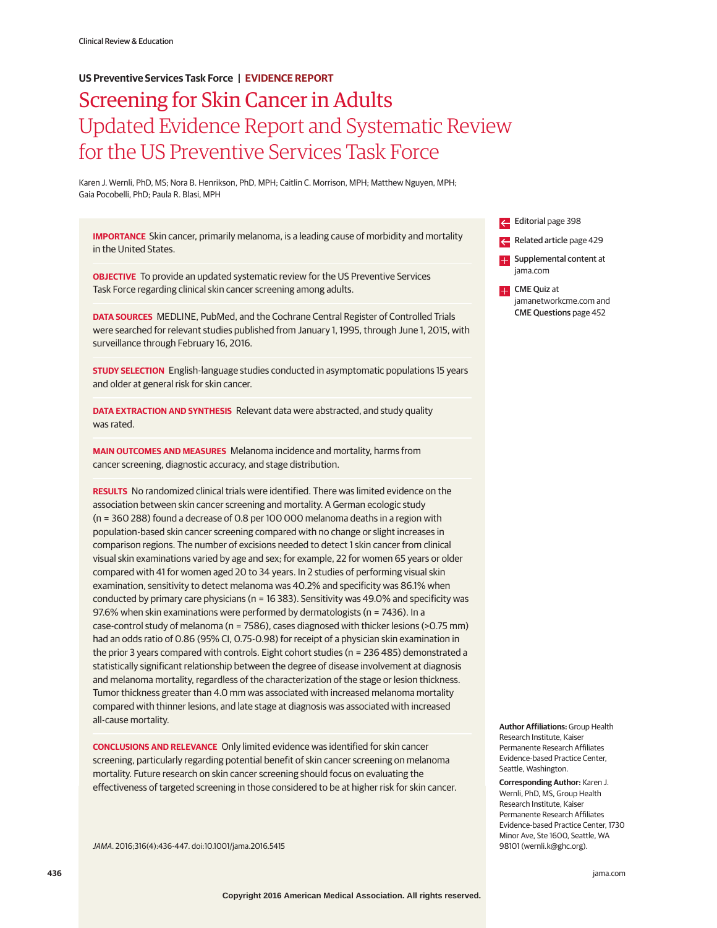# **US Preventive Services Task Force | EVIDENCE REPORT**

# Screening for Skin Cancer in Adults Updated Evidence Report and Systematic Review for the US Preventive Services Task Force

Karen J. Wernli, PhD, MS; Nora B. Henrikson, PhD, MPH; Caitlin C. Morrison, MPH; Matthew Nguyen, MPH; Gaia Pocobelli, PhD; Paula R. Blasi, MPH

**IMPORTANCE** Skin cancer, primarily melanoma, is a leading cause of morbidity and mortality in the United States.

**OBJECTIVE** To provide an updated systematic review for the US Preventive Services Task Force regarding clinical skin cancer screening among adults.

**DATA SOURCES** MEDLINE, PubMed, and the Cochrane Central Register of Controlled Trials were searched for relevant studies published from January 1, 1995, through June 1, 2015, with surveillance through February 16, 2016.

**STUDY SELECTION** English-language studies conducted in asymptomatic populations 15 years and older at general risk for skin cancer.

**DATA EXTRACTION AND SYNTHESIS** Relevant data were abstracted, and study quality was rated.

**MAIN OUTCOMES AND MEASURES** Melanoma incidence and mortality, harms from cancer screening, diagnostic accuracy, and stage distribution.

**RESULTS** No randomized clinical trials were identified. There was limited evidence on the association between skin cancer screening and mortality. A German ecologic study (n = 360 288) found a decrease of 0.8 per 100 000 melanoma deaths in a region with population-based skin cancer screening compared with no change or slight increases in comparison regions. The number of excisions needed to detect 1 skin cancer from clinical visual skin examinations varied by age and sex; for example, 22 for women 65 years or older compared with 41 for women aged 20 to 34 years. In 2 studies of performing visual skin examination, sensitivity to detect melanoma was 40.2% and specificity was 86.1% when conducted by primary care physicians (n = 16 383). Sensitivity was 49.0% and specificity was 97.6% when skin examinations were performed by dermatologists (n = 7436). In a case-control study of melanoma (n = 7586), cases diagnosed with thicker lesions (>0.75 mm) had an odds ratio of 0.86 (95% CI, 0.75-0.98) for receipt of a physician skin examination in the prior 3 years compared with controls. Eight cohort studies (n = 236 485) demonstrated a statistically significant relationship between the degree of disease involvement at diagnosis and melanoma mortality, regardless of the characterization of the stage or lesion thickness. Tumor thickness greater than 4.0 mm was associated with increased melanoma mortality compared with thinner lesions, and late stage at diagnosis was associated with increased all-cause mortality.

**CONCLUSIONS AND RELEVANCE** Only limited evidence was identified for skin cancer screening, particularly regarding potential benefit of skin cancer screening on melanoma mortality. Future research on skin cancer screening should focus on evaluating the effectiveness of targeted screening in those considered to be at higher risk for skin cancer.

JAMA. 2016;316(4):436-447. doi:10.1001/jama.2016.5415



Related article page 429

**Examplemental content at** jama.com



**Author Affiliations:** Group Health Research Institute, Kaiser Permanente Research Affiliates Evidence-based Practice Center, Seattle, Washington.

**Corresponding Author:** Karen J. Wernli, PhD, MS, Group Health Research Institute, Kaiser Permanente Research Affiliates Evidence-based Practice Center, 1730 Minor Ave, Ste 1600, Seattle, WA 98101 (wernli.k@ghc.org).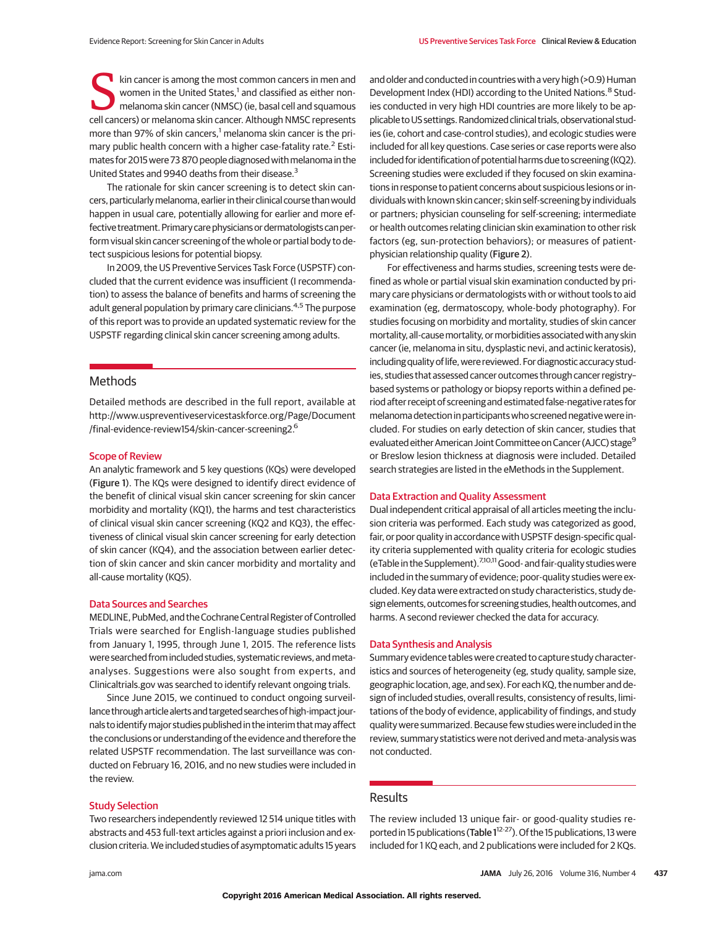kin cancer is among the most common cancers in men and<br>women in the United States,<sup>1</sup> and classified as either non-<br>melanoma skin cancer (NMSC) (ie, basal cell and squamous<br>cell cancers) or melanoma skin cancer. Although N women in the United States,<sup>1</sup> and classified as either nonmelanoma skin cancer (NMSC) (ie, basal cell and squamous cell cancers) or melanoma skin cancer. Although NMSC represents more than 97% of skin cancers, $1$  melanoma skin cancer is the primary public health concern with a higher case-fatality rate.<sup>2</sup> Estimates for 2015 were 73 870 people diagnosed withmelanoma in the United States and 9940 deaths from their disease.<sup>3</sup>

The rationale for skin cancer screening is to detect skin cancers, particularly melanoma, earlier in their clinical course than would happen in usual care, potentially allowing for earlier and more effective treatment. Primary care physicians or dermatologists can perform visual skin cancer screening of the whole or partial body to detect suspicious lesions for potential biopsy.

In 2009, the US Preventive Services Task Force (USPSTF) concluded that the current evidence was insufficient (I recommendation) to assess the balance of benefits and harms of screening the adult general population by primary care clinicians.<sup>4,5</sup> The purpose of this report was to provide an updated systematic review for the USPSTF regarding clinical skin cancer screening among adults.

# Methods

Detailed methods are described in the full report, available at http://www.uspreventiveservicestaskforce.org/Page/Document /final-evidence-review154/skin-cancer-screening2.6

# Scope of Review

An analytic framework and 5 key questions (KQs) were developed (Figure 1). The KQs were designed to identify direct evidence of the benefit of clinical visual skin cancer screening for skin cancer morbidity and mortality (KQ1), the harms and test characteristics of clinical visual skin cancer screening (KQ2 and KQ3), the effectiveness of clinical visual skin cancer screening for early detection of skin cancer (KQ4), and the association between earlier detection of skin cancer and skin cancer morbidity and mortality and all-cause mortality (KQ5).

#### Data Sources and Searches

MEDLINE, PubMed, and the Cochrane Central Register of Controlled Trials were searched for English-language studies published from January 1, 1995, through June 1, 2015. The reference lists were searched from included studies, systematic reviews, andmetaanalyses. Suggestions were also sought from experts, and Clinicaltrials.gov was searched to identify relevant ongoing trials.

Since June 2015, we continued to conduct ongoing surveillance through article alerts and targeted searches of high-impact journals to identifymajor studies published in the interim thatmay affect the conclusions or understanding of the evidence and therefore the related USPSTF recommendation. The last surveillance was conducted on February 16, 2016, and no new studies were included in the review.

## Study Selection

Two researchers independently reviewed 12 514 unique titles with abstracts and 453 full-text articles against a priori inclusion and exclusion criteria.We included studies of asymptomatic adults 15 years and older and conducted in countries with a very high (>0.9) Human Development Index (HDI) according to the United Nations.<sup>8</sup> Studies conducted in very high HDI countries are more likely to be applicable to US settings. Randomized clinical trials, observational studies (ie, cohort and case-control studies), and ecologic studies were included for all key questions. Case series or case reports were also included for identification of potential harms due to screening (KQ2). Screening studies were excluded if they focused on skin examinations in response to patient concerns about suspicious lesions or individuals with known skin cancer; skin self-screening by individuals or partners; physician counseling for self-screening; intermediate or health outcomes relating clinician skin examination to other risk factors (eg, sun-protection behaviors); or measures of patientphysician relationship quality (Figure 2).

For effectiveness and harms studies, screening tests were defined as whole or partial visual skin examination conducted by primary care physicians or dermatologists with or without tools to aid examination (eg, dermatoscopy, whole-body photography). For studies focusing on morbidity and mortality, studies of skin cancer mortality, all-causemortality, ormorbidities associated with any skin cancer (ie, melanoma in situ, dysplastic nevi, and actinic keratosis), including quality of life, were reviewed. For diagnostic accuracy studies, studies that assessed cancer outcomes through cancer registry– based systems or pathology or biopsy reports within a defined period after receipt of screening and estimated false-negative rates for melanoma detection in participants who screened negative were included. For studies on early detection of skin cancer, studies that evaluated either American Joint Committee on Cancer (AJCC) stage<sup>9</sup> or Breslow lesion thickness at diagnosis were included. Detailed search strategies are listed in the eMethods in the Supplement.

## Data Extraction and Quality Assessment

Dual independent critical appraisal of all articles meeting the inclusion criteria was performed. Each study was categorized as good, fair, or poor quality in accordance with USPSTF design-specific quality criteria supplemented with quality criteria for ecologic studies (eTable in the Supplement).<sup>7,10,11</sup> Good- and fair-quality studies were included in the summary of evidence; poor-quality studies were excluded. Key data were extracted on study characteristics, study design elements, outcomes for screening studies, health outcomes, and harms. A second reviewer checked the data for accuracy.

## Data Synthesis and Analysis

Summary evidence tables were created to capture study characteristics and sources of heterogeneity (eg, study quality, sample size, geographic location, age, and sex). For each KQ, the number and design of included studies, overall results, consistency of results, limitations of the body of evidence, applicability of findings, and study quality were summarized. Because few studies were included in the review, summary statistics were not derived and meta-analysis was not conducted.

# **Results**

The review included 13 unique fair- or good-quality studies reported in 15 publications (Table  $1^{12-27}$ ). Of the 15 publications, 13 were included for 1 KQ each, and 2 publications were included for 2 KQs.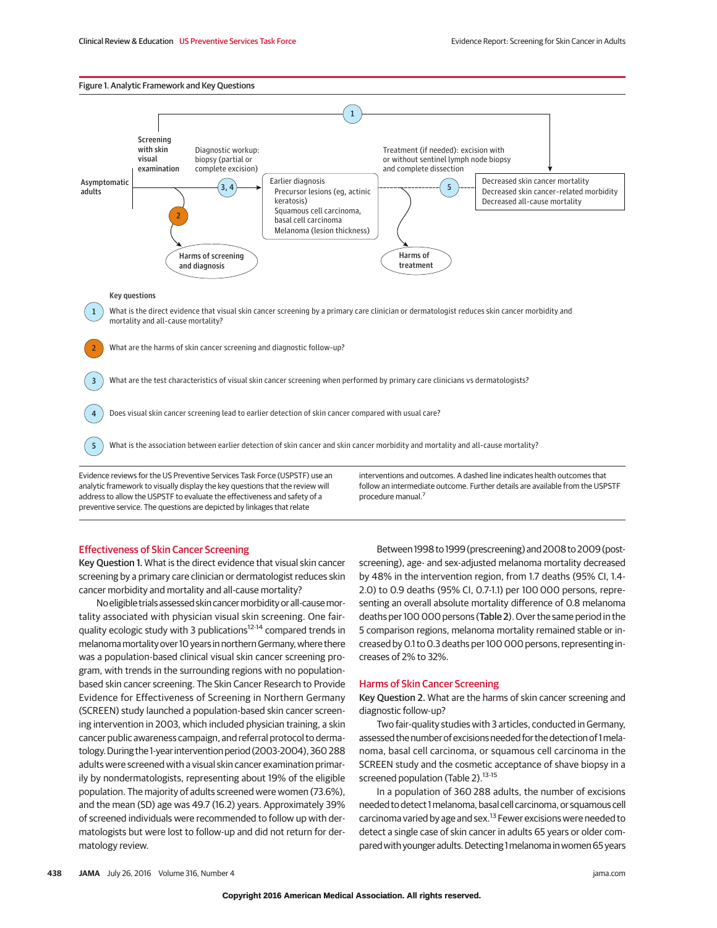#### Figure 1. Analytic Framework and Key Questions



#### Effectiveness of Skin Cancer Screening

Key Question 1. What is the direct evidence that visual skin cancer screening by a primary care clinician or dermatologist reduces skin cancer morbidity and mortality and all-cause mortality?

Noeligible trials assessed skin cancermorbidity or all-causemortality associated with physician visual skin screening. One fairquality ecologic study with 3 publications<sup>12-14</sup> compared trends in melanoma mortality over 10 years in northern Germany, where there was a population-based clinical visual skin cancer screening program, with trends in the surrounding regions with no populationbased skin cancer screening. The Skin Cancer Research to Provide Evidence for Effectiveness of Screening in Northern Germany (SCREEN) study launched a population-based skin cancer screening intervention in 2003, which included physician training, a skin cancer public awareness campaign, and referral protocol to dermatology.During the 1-year intervention period (2003-2004), 360 288 adults were screened with a visual skin cancer examination primarily by nondermatologists, representing about 19% of the eligible population. The majority of adults screened were women (73.6%), and the mean (SD) age was 49.7 (16.2) years. Approximately 39% of screened individuals were recommended to follow up with dermatologists but were lost to follow-up and did not return for dermatology review.

Between 1998 to 1999 (prescreening) and 2008 to 2009 (postscreening), age- and sex-adjusted melanoma mortality decreased by 48% in the intervention region, from 1.7 deaths (95% CI, 1.4- 2.0) to 0.9 deaths (95% CI, 0.7-1.1) per 100 000 persons, representing an overall absolute mortality difference of 0.8 melanoma deaths per 100 000 persons (Table 2). Over the same period in the 5 comparison regions, melanoma mortality remained stable or increased by 0.1 to 0.3 deaths per 100 000 persons, representing increases of 2% to 32%.

# Harms of Skin Cancer Screening

Key Question 2. What are the harms of skin cancer screening and diagnostic follow-up?

Two fair-quality studies with 3 articles, conducted in Germany, assessed the number of excisions needed for the detection of 1 melanoma, basal cell carcinoma, or squamous cell carcinoma in the SCREEN study and the cosmetic acceptance of shave biopsy in a screened population (Table 2).<sup>13-15</sup>

In a population of 360 288 adults, the number of excisions needed to detect 1melanoma, basal cell carcinoma, or squamous cell carcinoma varied by age and sex.<sup>13</sup> Fewer excisions were needed to detect a single case of skin cancer in adults 65 years or older compared with younger adults. Detecting 1 melanoma in women 65 years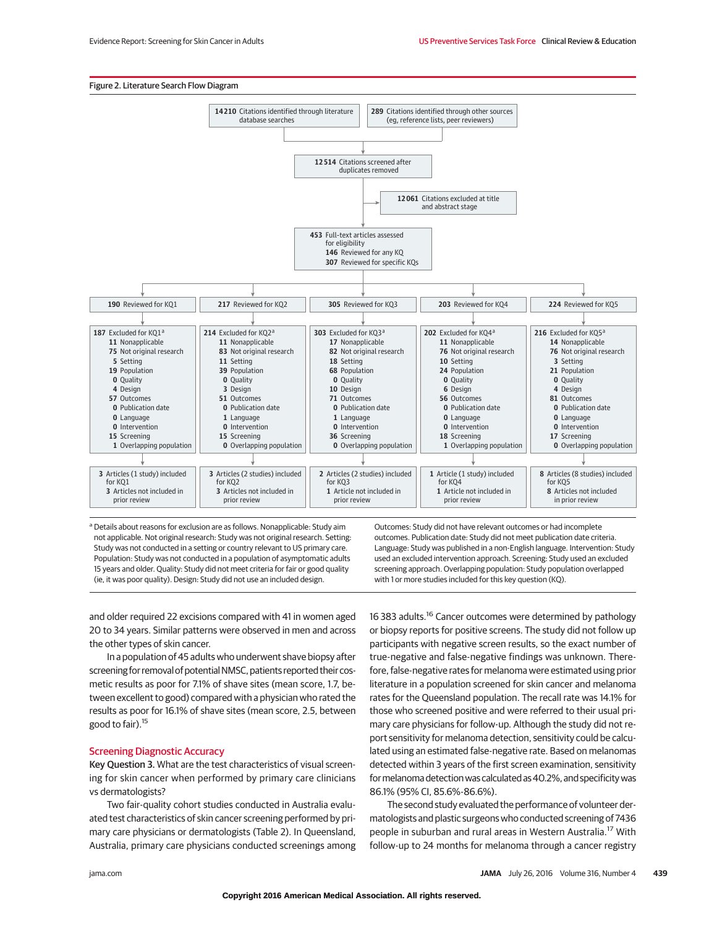

<sup>a</sup> Details about reasons for exclusion are as follows. Nonapplicable: Study aim not applicable. Not original research: Study was not original research. Setting: Study was not conducted in a setting or country relevant to US primary care. Population: Study was not conducted in a population of asymptomatic adults 15 years and older. Quality: Study did not meet criteria for fair or good quality (ie, it was poor quality). Design: Study did not use an included design.

Outcomes: Study did not have relevant outcomes or had incomplete outcomes. Publication date: Study did not meet publication date criteria. Language: Study was published in a non-English language. Intervention: Study used an excluded intervention approach. Screening: Study used an excluded screening approach. Overlapping population: Study population overlapped with 1 or more studies included for this key question (KQ).

and older required 22 excisions compared with 41 in women aged 20 to 34 years. Similar patterns were observed in men and across the other types of skin cancer.

In a population of 45 adults who underwent shave biopsy after screening for removal of potential NMSC, patients reported their cosmetic results as poor for 7.1% of shave sites (mean score, 1.7, between excellent to good) compared with a physician who rated the results as poor for 16.1% of shave sites (mean score, 2.5, between good to fair).15

# Screening Diagnostic Accuracy

Key Question 3. What are the test characteristics of visual screening for skin cancer when performed by primary care clinicians vs dermatologists?

Two fair-quality cohort studies conducted in Australia evaluated test characteristics of skin cancer screening performed by primary care physicians or dermatologists (Table 2). In Queensland, Australia, primary care physicians conducted screenings among 16 383 adults.<sup>16</sup> Cancer outcomes were determined by pathology or biopsy reports for positive screens. The study did not follow up participants with negative screen results, so the exact number of true-negative and false-negative findings was unknown. Therefore, false-negative rates for melanoma were estimated using prior literature in a population screened for skin cancer and melanoma rates for the Queensland population. The recall rate was 14.1% for those who screened positive and were referred to their usual primary care physicians for follow-up. Although the study did not report sensitivity for melanoma detection, sensitivity could be calculated using an estimated false-negative rate. Based on melanomas detected within 3 years of the first screen examination, sensitivity for melanoma detection was calculated as 40.2%, and specificity was 86.1% (95% CI, 85.6%-86.6%).

The second study evaluated the performance of volunteer dermatologists and plastic surgeons who conducted screening of 7436 people in suburban and rural areas in Western Australia.<sup>17</sup> With follow-up to 24 months for melanoma through a cancer registry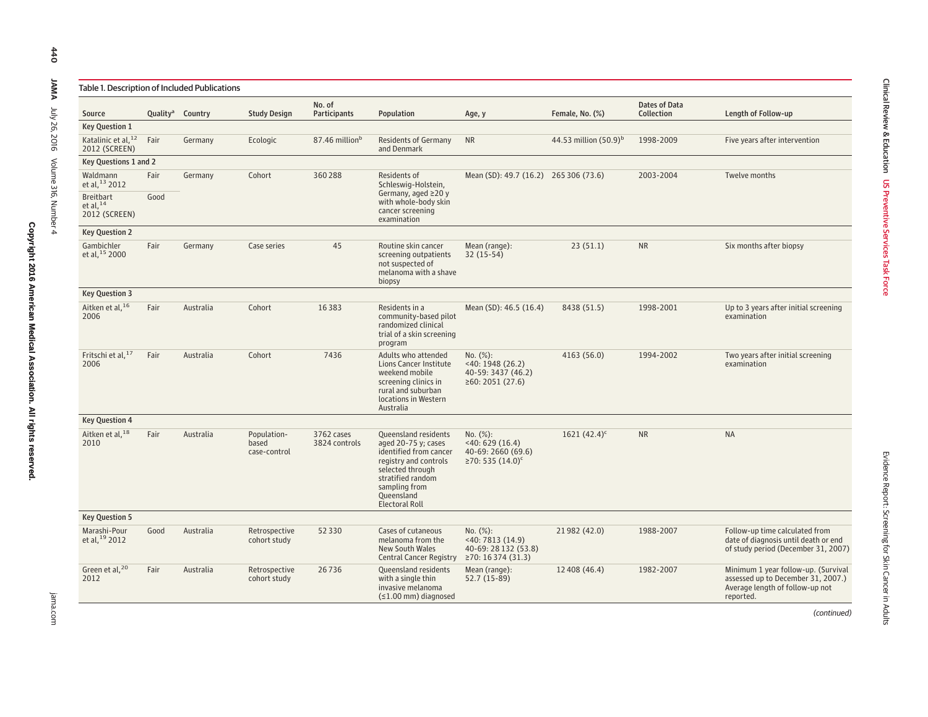|                                                     |                      |           |                                      | No. of                      |                                                                                                                                                                                                 |                                                                                      |                                   | <b>Dates of Data</b> |                                                                                                                           |
|-----------------------------------------------------|----------------------|-----------|--------------------------------------|-----------------------------|-------------------------------------------------------------------------------------------------------------------------------------------------------------------------------------------------|--------------------------------------------------------------------------------------|-----------------------------------|----------------------|---------------------------------------------------------------------------------------------------------------------------|
| Source                                              | Quality <sup>a</sup> | Country   | <b>Study Design</b>                  | Participants                | Population                                                                                                                                                                                      | Age, y                                                                               | Female, No. (%)                   | Collection           | Length of Follow-up                                                                                                       |
| <b>Key Question 1</b>                               |                      |           |                                      |                             |                                                                                                                                                                                                 |                                                                                      |                                   |                      |                                                                                                                           |
| Katalinic et al, 12<br>2012 (SCREEN)                | Fair                 | Germany   | Ecologic                             | 87.46 millionb              | <b>Residents of Germany</b><br>and Denmark                                                                                                                                                      | <b>NR</b>                                                                            | 44.53 million (50.9) <sup>b</sup> | 1998-2009            | Five years after intervention                                                                                             |
| <b>Key Questions 1 and 2</b>                        |                      |           |                                      |                             |                                                                                                                                                                                                 |                                                                                      |                                   |                      |                                                                                                                           |
| Waldmann<br>et al, 13 2012                          | Fair                 | Germany   | Cohort                               | 360 288                     | Residents of<br>Schleswig-Holstein,                                                                                                                                                             | Mean (SD): 49.7 (16.2) 265 306 (73.6)                                                |                                   | 2003-2004            | Twelve months                                                                                                             |
| <b>Breitbart</b><br>et al, $^{14}$<br>2012 (SCREEN) | Good                 |           |                                      |                             | Germany, aged $\geq$ 20 y<br>with whole-body skin<br>cancer screening<br>examination                                                                                                            |                                                                                      |                                   |                      |                                                                                                                           |
| <b>Key Question 2</b>                               |                      |           |                                      |                             |                                                                                                                                                                                                 |                                                                                      |                                   |                      |                                                                                                                           |
| Gambichler<br>et al, 15 2000                        | Fair                 | Germany   | Case series                          | 45                          | Routine skin cancer<br>screening outpatients<br>not suspected of<br>melanoma with a shave<br>biopsy                                                                                             | Mean (range):<br>$32(15-54)$                                                         | 23(51.1)                          | <b>NR</b>            | Six months after biopsy                                                                                                   |
| <b>Key Question 3</b>                               |                      |           |                                      |                             |                                                                                                                                                                                                 |                                                                                      |                                   |                      |                                                                                                                           |
| Aitken et al, <sup>16</sup><br>2006                 | Fair                 | Australia | Cohort                               | 16 3 8 3                    | Residents in a<br>community-based pilot<br>randomized clinical<br>trial of a skin screening<br>program                                                                                          | Mean (SD): 46.5 (16.4)                                                               | 8438 (51.5)                       | 1998-2001            | Up to 3 years after initial screening<br>examination                                                                      |
| Fritschi et al, 17<br>2006                          | Fair                 | Australia | Cohort                               | 7436                        | Adults who attended<br>Lions Cancer Institute<br>weekend mobile<br>screening clinics in<br>rural and suburban<br>locations in Western<br>Australia                                              | No. (%):<br>$<$ 40: 1948 (26.2)<br>40-59: 3437 (46.2)<br>≥60:2051(27.6)              | 4163 (56.0)                       | 1994-2002            | Two years after initial screening<br>examination                                                                          |
| <b>Key Question 4</b>                               |                      |           |                                      |                             |                                                                                                                                                                                                 |                                                                                      |                                   |                      |                                                                                                                           |
| Aitken et al. <sup>18</sup><br>2010                 | Fair                 | Australia | Population-<br>based<br>case-control | 3762 cases<br>3824 controls | Queensland residents<br>aged 20-75 y; cases<br>identified from cancer<br>registry and controls<br>selected through<br>stratified random<br>sampling from<br>Queensland<br><b>Electoral Roll</b> | No. (%):<br>$<$ 40: 629 (16.4)<br>40-69: 2660 (69.6)<br>≥70: 535 (14.0) <sup>c</sup> | 1621 $(42.4)^c$                   | <b>NR</b>            | <b>NA</b>                                                                                                                 |
| <b>Key Question 5</b>                               |                      |           |                                      |                             |                                                                                                                                                                                                 |                                                                                      |                                   |                      |                                                                                                                           |
| Marashi-Pour<br>et al, <sup>19</sup> 2012           | Good                 | Australia | Retrospective<br>cohort study        | 52 3 30                     | Cases of cutaneous<br>melanoma from the<br><b>New South Wales</b><br>Central Cancer Registry                                                                                                    | No. (%):<br>$<$ 40: 7813 (14.9)<br>40-69: 28 132 (53.8)<br>≥70:16374(31.3)           | 21982 (42.0)                      | 1988-2007            | Follow-up time calculated from<br>date of diagnosis until death or end<br>of study period (December 31, 2007)             |
| Green et al. <sup>20</sup><br>2012                  | Fair                 | Australia | Retrospective<br>cohort study        | 26736                       | Queensland residents<br>with a single thin<br>invasive melanoma<br>$(≤1.00 mm)$ diagnosed                                                                                                       | Mean (range):<br>52.7 (15-89)                                                        | 12 408 (46.4)                     | 1982-2007            | Minimum 1 year follow-up. (Survival<br>assessed up to December 31, 2007.)<br>Average length of follow-up not<br>reported. |

(continued)

Evidence Report: Screening for Skin Cancer in Adults

Evidence Report: Screening for Skin Cancer in Adults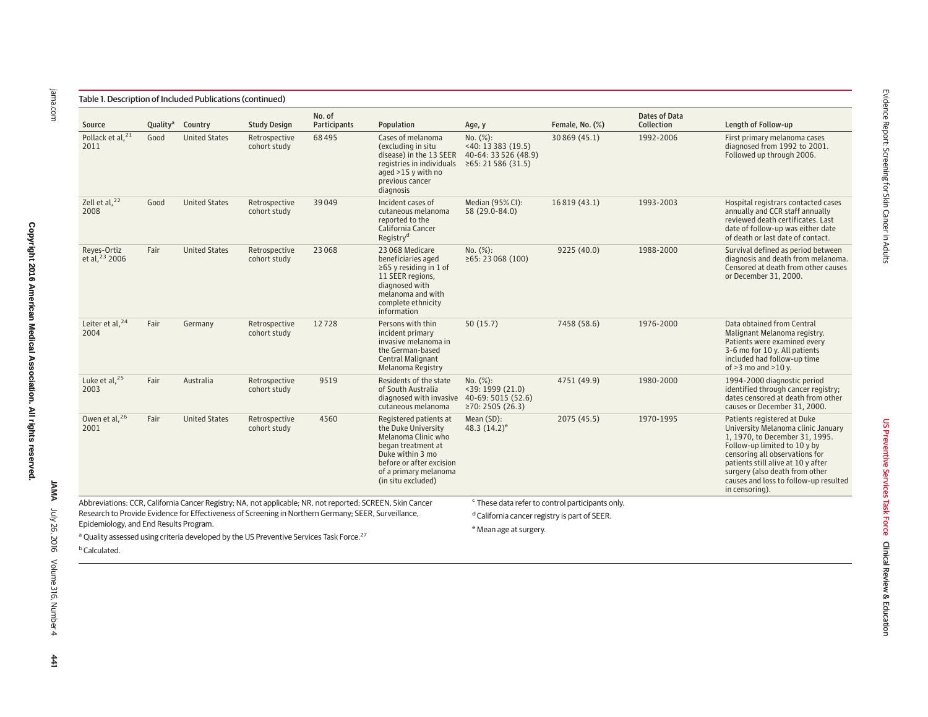## Table 1. Description of Included Publications (continued)

|                                        |                      |                      |                                                                                                                | No. of                                                                                                    |                                                                                                                                                                                           |                                                                                |                 | <b>Dates of Data</b> |                                                                                                                                                                                                                                                                                                          |
|----------------------------------------|----------------------|----------------------|----------------------------------------------------------------------------------------------------------------|-----------------------------------------------------------------------------------------------------------|-------------------------------------------------------------------------------------------------------------------------------------------------------------------------------------------|--------------------------------------------------------------------------------|-----------------|----------------------|----------------------------------------------------------------------------------------------------------------------------------------------------------------------------------------------------------------------------------------------------------------------------------------------------------|
| Source                                 | Quality <sup>a</sup> | Country              | <b>Study Design</b>                                                                                            | Participants                                                                                              | Population                                                                                                                                                                                | Age, y                                                                         | Female, No. (%) | Collection           | Length of Follow-up                                                                                                                                                                                                                                                                                      |
| Pollack et al, 21<br>2011              | Good                 | <b>United States</b> | Retrospective<br>cohort study                                                                                  | 68495                                                                                                     | Cases of melanoma<br>(excluding in situ<br>disease) in the 13 SEER<br>registries in individuals<br>aged >15 y with no<br>previous cancer<br>diagnosis                                     | No. (%):<br>$~5$ <40: 13 383 (19.5)<br>40-64: 33 526 (48.9)<br>≥65:21586(31.5) | 30 869 (45.1)   | 1992-2006            | First primary melanoma cases<br>diagnosed from 1992 to 2001.<br>Followed up through 2006.                                                                                                                                                                                                                |
| Zell et al, <sup>22</sup><br>2008      | Good                 | <b>United States</b> | Retrospective<br>cohort study                                                                                  | 39049                                                                                                     | Incident cases of<br>cutaneous melanoma<br>reported to the<br>California Cancer<br>Registry <sup>d</sup>                                                                                  | Median (95% CI):<br>58 (29.0-84.0)                                             | 16819 (43.1)    | 1993-2003            | Hospital registrars contacted cases<br>annually and CCR staff annually<br>reviewed death certificates. Last<br>date of follow-up was either date<br>of death or last date of contact.                                                                                                                    |
| Reyes-Ortiz<br>et al, 23 2006          | Fair                 | <b>United States</b> | Retrospective<br>cohort study                                                                                  | 23068                                                                                                     | 23 068 Medicare<br>beneficiaries aged<br>$\geq$ 65 y residing in 1 of<br>11 SEER regions,<br>diagnosed with<br>melanoma and with<br>complete ethnicity<br>information                     | No. (%):<br>≥65:23068(100)                                                     | 9225 (40.0)     | 1988-2000            | Survival defined as period between<br>diagnosis and death from melanoma.<br>Censored at death from other causes<br>or December 31, 2000.                                                                                                                                                                 |
| Leiter et al, <sup>24</sup><br>2004    | Fair                 | Germany              | Retrospective<br>cohort study                                                                                  | 12728                                                                                                     | Persons with thin<br>incident primary<br>invasive melanoma in<br>the German-based<br><b>Central Malignant</b><br>Melanoma Registry                                                        | 50(15.7)                                                                       | 7458 (58.6)     | 1976-2000            | Data obtained from Central<br>Malignant Melanoma registry.<br>Patients were examined every<br>3-6 mo for 10 y. All patients<br>included had follow-up time<br>of $>3$ mo and $>10$ y.                                                                                                                    |
| Luke et al, 25<br>2003                 | Fair                 | Australia            | Retrospective<br>cohort study                                                                                  | 9519                                                                                                      | Residents of the state<br>of South Australia<br>diagnosed with invasive $40-69:5015(52.6)$<br>cutaneous melanoma                                                                          | No. (%):<br>$<$ 39: 1999 (21.0)<br>≥70:2505(26.3)                              | 4751 (49.9)     | 1980-2000            | 1994-2000 diagnostic period<br>identified through cancer registry;<br>dates censored at death from other<br>causes or December 31, 2000.                                                                                                                                                                 |
| Owen et al, 26<br>2001                 | Fair                 | <b>United States</b> | Retrospective<br>cohort study                                                                                  | 4560                                                                                                      | Registered patients at<br>the Duke University<br>Melanoma Clinic who<br>began treatment at<br>Duke within 3 mo<br>before or after excision<br>of a primary melanoma<br>(in situ excluded) | Mean (SD):<br>48.3 $(14.2)^e$                                                  | 2075 (45.5)     | 1970-1995            | Patients registered at Duke<br>University Melanoma clinic January<br>1, 1970, to December 31, 1995.<br>Follow-up limited to 10 y by<br>censoring all observations for<br>patients still alive at 10 y after<br>surgery (also death from other<br>causes and loss to follow-up resulted<br>in censoring). |
|                                        |                      |                      |                                                                                                                | Abbreviations: CCR, California Cancer Registry; NA, not applicable; NR, not reported; SCREEN, Skin Cancer |                                                                                                                                                                                           | <sup>c</sup> These data refer to control participants only.                    |                 |                      |                                                                                                                                                                                                                                                                                                          |
| Epidemiology, and End Results Program. |                      |                      |                                                                                                                | Research to Provide Evidence for Effectiveness of Screening in Northern Germany; SEER, Surveillance,      |                                                                                                                                                                                           | <sup>d</sup> California cancer registry is part of SEER.                       |                 |                      |                                                                                                                                                                                                                                                                                                          |
|                                        |                      |                      | <sup>a</sup> Quality assessed using criteria developed by the US Preventive Services Task Force. <sup>27</sup> |                                                                                                           |                                                                                                                                                                                           | <sup>e</sup> Mean age at surgery.                                              |                 |                      |                                                                                                                                                                                                                                                                                                          |

<sup>b</sup> Calculated.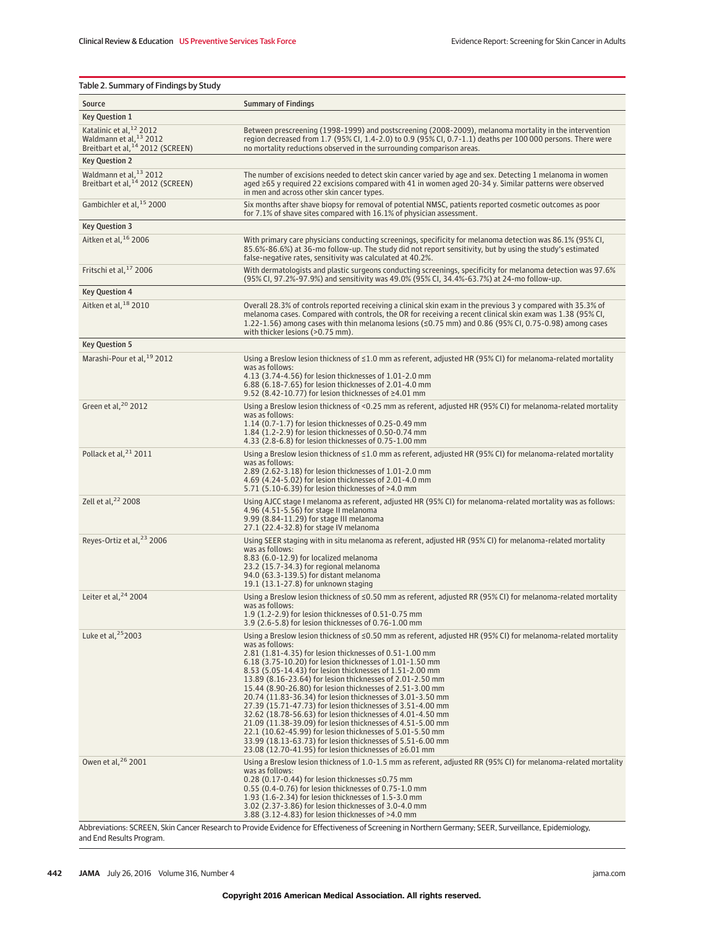| Table 2. Summary of Findings by Study                                                                                     |                                                                                                                                                                                                                                                                                                                                                                                                                                                                                                                                                                                                                                                                                                                                                                                                                                                                                                  |
|---------------------------------------------------------------------------------------------------------------------------|--------------------------------------------------------------------------------------------------------------------------------------------------------------------------------------------------------------------------------------------------------------------------------------------------------------------------------------------------------------------------------------------------------------------------------------------------------------------------------------------------------------------------------------------------------------------------------------------------------------------------------------------------------------------------------------------------------------------------------------------------------------------------------------------------------------------------------------------------------------------------------------------------|
| Source                                                                                                                    | <b>Summary of Findings</b>                                                                                                                                                                                                                                                                                                                                                                                                                                                                                                                                                                                                                                                                                                                                                                                                                                                                       |
| <b>Key Question 1</b>                                                                                                     |                                                                                                                                                                                                                                                                                                                                                                                                                                                                                                                                                                                                                                                                                                                                                                                                                                                                                                  |
| Katalinic et al, <sup>12</sup> 2012<br>Waldmann et al, <sup>13</sup> 2012<br>Breitbart et al, <sup>14</sup> 2012 (SCREEN) | Between prescreening (1998-1999) and postscreening (2008-2009), melanoma mortality in the intervention<br>region decreased from 1.7 (95% CI, 1.4-2.0) to 0.9 (95% CI, 0.7-1.1) deaths per 100 000 persons. There were<br>no mortality reductions observed in the surrounding comparison areas.                                                                                                                                                                                                                                                                                                                                                                                                                                                                                                                                                                                                   |
| <b>Key Question 2</b>                                                                                                     |                                                                                                                                                                                                                                                                                                                                                                                                                                                                                                                                                                                                                                                                                                                                                                                                                                                                                                  |
| Waldmann et al, <sup>13</sup> 2012<br>Breitbart et al, <sup>14</sup> 2012 (SCREEN)                                        | The number of excisions needed to detect skin cancer varied by age and sex. Detecting 1 melanoma in women<br>aged ≥65 y required 22 excisions compared with 41 in women aged 20-34 y. Similar patterns were observed<br>in men and across other skin cancer types.                                                                                                                                                                                                                                                                                                                                                                                                                                                                                                                                                                                                                               |
| Gambichler et al, <sup>15</sup> 2000                                                                                      | Six months after shave biopsy for removal of potential NMSC, patients reported cosmetic outcomes as poor<br>for 7.1% of shave sites compared with 16.1% of physician assessment.                                                                                                                                                                                                                                                                                                                                                                                                                                                                                                                                                                                                                                                                                                                 |
| <b>Key Question 3</b>                                                                                                     |                                                                                                                                                                                                                                                                                                                                                                                                                                                                                                                                                                                                                                                                                                                                                                                                                                                                                                  |
| Aitken et al, 16 2006                                                                                                     | With primary care physicians conducting screenings, specificity for melanoma detection was 86.1% (95% CI,<br>85.6%-86.6%) at 36-mo follow-up. The study did not report sensitivity, but by using the study's estimated<br>false-negative rates, sensitivity was calculated at 40.2%.                                                                                                                                                                                                                                                                                                                                                                                                                                                                                                                                                                                                             |
| Fritschi et al, 17 2006                                                                                                   | With dermatologists and plastic surgeons conducting screenings, specificity for melanoma detection was 97.6%<br>(95% CI, 97.2%-97.9%) and sensitivity was 49.0% (95% CI, 34.4%-63.7%) at 24-mo follow-up.                                                                                                                                                                                                                                                                                                                                                                                                                                                                                                                                                                                                                                                                                        |
| <b>Key Question 4</b>                                                                                                     |                                                                                                                                                                                                                                                                                                                                                                                                                                                                                                                                                                                                                                                                                                                                                                                                                                                                                                  |
| Aitken et al, 18 2010                                                                                                     | Overall 28.3% of controls reported receiving a clinical skin exam in the previous 3 y compared with 35.3% of<br>melanoma cases. Compared with controls, the OR for receiving a recent clinical skin exam was 1.38 (95% CI,<br>1.22-1.56) among cases with thin melanoma lesions ( $\leq$ 0.75 mm) and 0.86 (95% CI, 0.75-0.98) among cases<br>with thicker lesions (>0.75 mm).                                                                                                                                                                                                                                                                                                                                                                                                                                                                                                                   |
| <b>Key Question 5</b>                                                                                                     |                                                                                                                                                                                                                                                                                                                                                                                                                                                                                                                                                                                                                                                                                                                                                                                                                                                                                                  |
| Marashi-Pour et al, <sup>19</sup> 2012                                                                                    | Using a Breslow lesion thickness of $\leq 1.0$ mm as referent, adjusted HR (95% CI) for melanoma-related mortality<br>was as follows:<br>4.13 (3.74-4.56) for lesion thicknesses of 1.01-2.0 mm<br>6.88 (6.18-7.65) for lesion thicknesses of 2.01-4.0 mm<br>9.52 (8.42-10.77) for lesion thicknesses of $\geq$ 4.01 mm                                                                                                                                                                                                                                                                                                                                                                                                                                                                                                                                                                          |
| Green et al, <sup>20</sup> 2012                                                                                           | Using a Breslow lesion thickness of <0.25 mm as referent, adjusted HR (95% CI) for melanoma-related mortality<br>was as follows:<br>1.14 (0.7-1.7) for lesion thicknesses of 0.25-0.49 mm<br>1.84 (1.2-2.9) for lesion thicknesses of 0.50-0.74 mm<br>4.33 (2.8-6.8) for lesion thicknesses of 0.75-1.00 mm                                                                                                                                                                                                                                                                                                                                                                                                                                                                                                                                                                                      |
| Pollack et al, <sup>21</sup> 2011                                                                                         | Using a Breslow lesion thickness of $\leq 1.0$ mm as referent, adjusted HR (95% CI) for melanoma-related mortality<br>was as follows:<br>2.89 (2.62-3.18) for lesion thicknesses of 1.01-2.0 mm<br>4.69 (4.24-5.02) for lesion thicknesses of 2.01-4.0 mm<br>5.71 (5.10-6.39) for lesion thicknesses of >4.0 mm                                                                                                                                                                                                                                                                                                                                                                                                                                                                                                                                                                                  |
| Zell et al, <sup>22</sup> 2008                                                                                            | Using AJCC stage I melanoma as referent, adjusted HR (95% CI) for melanoma-related mortality was as follows:<br>4.96 (4.51-5.56) for stage II melanoma<br>9.99 (8.84-11.29) for stage III melanoma<br>27.1 (22.4-32.8) for stage IV melanoma                                                                                                                                                                                                                                                                                                                                                                                                                                                                                                                                                                                                                                                     |
| Reyes-Ortiz et al, <sup>23</sup> 2006                                                                                     | Using SEER staging with in situ melanoma as referent, adjusted HR (95% CI) for melanoma-related mortality<br>was as follows:<br>8.83 (6.0-12.9) for localized melanoma<br>23.2 (15.7-34.3) for regional melanoma<br>94.0 (63.3-139.5) for distant melanoma<br>19.1 (13.1-27.8) for unknown staging                                                                                                                                                                                                                                                                                                                                                                                                                                                                                                                                                                                               |
| Leiter et al, <sup>24</sup> 2004                                                                                          | Using a Breslow lesion thickness of ≤0.50 mm as referent, adjusted RR (95% CI) for melanoma-related mortality<br>was as follows:<br>1.9 (1.2-2.9) for lesion thicknesses of 0.51-0.75 mm<br>3.9 (2.6-5.8) for lesion thicknesses of 0.76-1.00 mm                                                                                                                                                                                                                                                                                                                                                                                                                                                                                                                                                                                                                                                 |
| Luke et al, 252003                                                                                                        | Using a Breslow lesion thickness of $\leq$ 0.50 mm as referent, adjusted HR (95% CI) for melanoma-related mortality<br>was as follows:<br>2.81 (1.81-4.35) for lesion thicknesses of 0.51-1.00 mm<br>6.18 (3.75-10.20) for lesion thicknesses of 1.01-1.50 mm<br>8.53 (5.05-14.43) for lesion thicknesses of 1.51-2.00 mm<br>13.89 (8.16-23.64) for lesion thicknesses of 2.01-2.50 mm<br>15.44 (8.90-26.80) for lesion thicknesses of 2.51-3.00 mm<br>20.74 (11.83-36.34) for lesion thicknesses of 3.01-3.50 mm<br>27.39 (15.71-47.73) for lesion thicknesses of 3.51-4.00 mm<br>32.62 (18.78-56.63) for lesion thicknesses of 4.01-4.50 mm<br>21.09 (11.38-39.09) for lesion thicknesses of 4.51-5.00 mm<br>22.1 (10.62-45.99) for lesion thicknesses of 5.01-5.50 mm<br>33.99 (18.13-63.73) for lesion thicknesses of 5.51-6.00 mm<br>23.08 (12.70-41.95) for lesion thicknesses of ≥6.01 mm |
| Owen et al, 26 2001                                                                                                       | Using a Breslow lesion thickness of 1.0-1.5 mm as referent, adjusted RR (95% CI) for melanoma-related mortality<br>was as follows:<br>0.28 (0.17-0.44) for lesion thicknesses $\leq$ 0.75 mm<br>0.55 (0.4-0.76) for lesion thicknesses of 0.75-1.0 mm<br>1.93 (1.6-2.34) for lesion thicknesses of 1.5-3.0 mm<br>3.02 (2.37-3.86) for lesion thicknesses of 3.0-4.0 mm<br>3.88 (3.12-4.83) for lesion thicknesses of >4.0 mm<br>Abbreviations, SCPEEN, Skin Cancer Pesearch to Provide Evidence for Effectiveness of Screening in Northern Cermany, SEEP, Surveillance, Epidemiology                                                                                                                                                                                                                                                                                                             |

EN, Skin Cancer Research to Provide Evidence for Effectiveness of Screening in Northern Germany; SEER, Surveillance, Epidemiology, and End Results Program.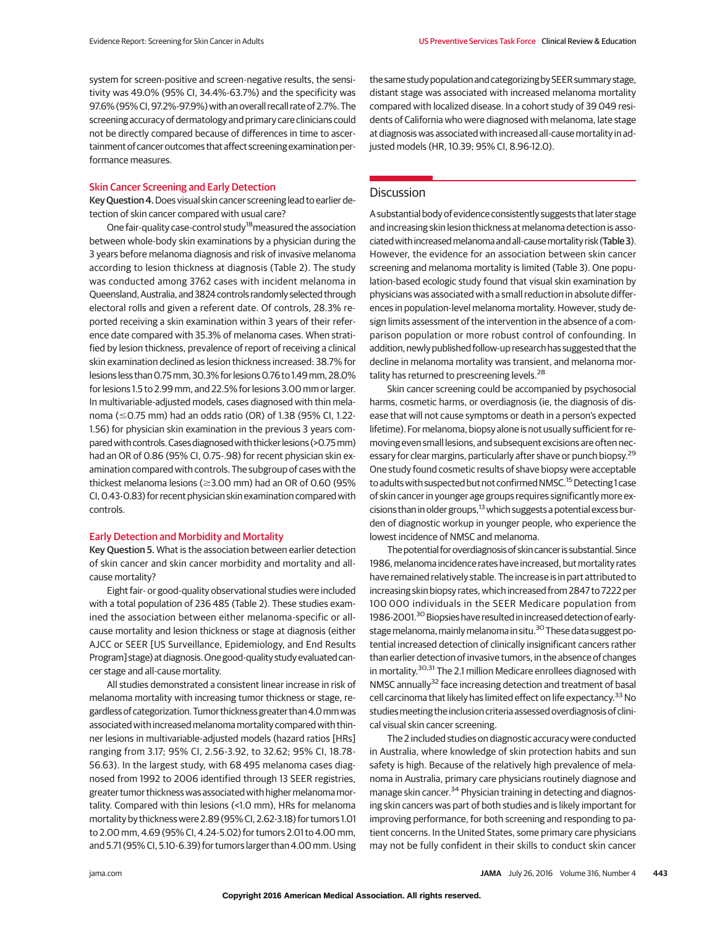system for screen-positive and screen-negative results, the sensitivity was 49.0% (95% CI, 34.4%-63.7%) and the specificity was 97.6% (95% CI, 97.2%-97.9%) with an overall recall rate of 2.7%. The screening accuracy of dermatology and primary care clinicians could not be directly compared because of differences in time to ascertainment of cancer outcomes that affect screening examination performance measures.

#### Skin Cancer Screening and Early Detection

KeyQuestion 4.Does visual skin cancer screening lead to earlier detection of skin cancer compared with usual care?

One fair-quality case-control study<sup>18</sup> measured the association between whole-body skin examinations by a physician during the 3 years before melanoma diagnosis and risk of invasive melanoma according to lesion thickness at diagnosis (Table 2). The study was conducted among 3762 cases with incident melanoma in Queensland, Australia, and 3824 controls randomly selected through electoral rolls and given a referent date. Of controls, 28.3% reported receiving a skin examination within 3 years of their reference date compared with 35.3% of melanoma cases. When stratified by lesion thickness, prevalence of report of receiving a clinical skin examination declined as lesion thickness increased: 38.7% for lesions less than0.75mm, 30.3% for lesions0.76 to 1.49mm, 28.0% for lesions 1.5 to 2.99 mm, and 22.5% for lesions 3.00 mm or larger. In multivariable-adjusted models, cases diagnosed with thin melanoma (≤0.75 mm) had an odds ratio (OR) of 1.38 (95% CI, 1.22-1.56) for physician skin examination in the previous 3 years comparedwith controls. Cases diagnosedwith thicker lesions (>0.75mm) had an OR of 0.86 (95% CI, 0.75-.98) for recent physician skin examination compared with controls. The subgroup of cases with the thickest melanoma lesions ( $\geq$ 3.00 mm) had an OR of 0.60 (95% CI, 0.43-0.83) for recent physician skin examination compared with controls.

#### Early Detection and Morbidity and Mortality

Key Question 5. What is the association between earlier detection of skin cancer and skin cancer morbidity and mortality and allcause mortality?

Eight fair- or good-quality observational studies were included with a total population of 236 485 (Table 2). These studies examined the association between either melanoma-specific or allcause mortality and lesion thickness or stage at diagnosis (either AJCC or SEER [US Surveillance, Epidemiology, and End Results Program] stage) at diagnosis.One good-quality study evaluated cancer stage and all-cause mortality.

All studies demonstrated a consistent linear increase in risk of melanoma mortality with increasing tumor thickness or stage, regardless of categorization. Tumor thickness greater than 4.0mmwas associated with increased melanoma mortality compared with thinner lesions in multivariable-adjusted models (hazard ratios [HRs] ranging from 3.17; 95% CI, 2.56-3.92, to 32.62; 95% CI, 18.78- 56.63). In the largest study, with 68 495 melanoma cases diagnosed from 1992 to 2006 identified through 13 SEER registries, greater tumor thickness was associated with higher melanoma mortality. Compared with thin lesions (<1.0 mm), HRs for melanoma mortality by thickness were 2.89 (95% CI, 2.62-3.18) for tumors 1.01 to 2.00 mm, 4.69 (95% CI, 4.24-5.02) for tumors 2.01 to 4.00 mm, and 5.71 (95% CI, 5.10-6.39) for tumors larger than 4.00 mm. Using

the same study population and categorizing by SEER summary stage, distant stage was associated with increased melanoma mortality compared with localized disease. In a cohort study of 39 049 residents of California who were diagnosed with melanoma, late stage at diagnosis was associated with increased all-cause mortality in adjusted models (HR, 10.39; 95% CI, 8.96-12.0).

# Discussion

A substantial body of evidence consistently suggests that later stage and increasing skin lesion thickness at melanoma detection is associatedwith increasedmelanomaandall-causemortality risk (Table 3). However, the evidence for an association between skin cancer screening and melanoma mortality is limited (Table 3). One population-based ecologic study found that visual skin examination by physicians was associated with a small reduction in absolute differences in population-level melanoma mortality. However, study design limits assessment of the intervention in the absence of a comparison population or more robust control of confounding. In addition, newly published follow-up research has suggested that the decline in melanoma mortality was transient, and melanoma mortality has returned to prescreening levels.<sup>28</sup>

Skin cancer screening could be accompanied by psychosocial harms, cosmetic harms, or overdiagnosis (ie, the diagnosis of disease that will not cause symptoms or death in a person's expected lifetime). For melanoma, biopsy alone is not usually sufficient for removing even small lesions, and subsequent excisions are often necessary for clear margins, particularly after shave or punch biopsy.<sup>29</sup> One study found cosmetic results of shave biopsy were acceptable to adults with suspected but not confirmed NMSC.<sup>15</sup> Detecting 1 case of skin cancer in younger age groups requires significantly more excisions than in older groups,<sup>13</sup> which suggests a potential excess burden of diagnostic workup in younger people, who experience the lowest incidence of NMSC and melanoma.

The potential for overdiagnosis of skin cancer is substantial.Since 1986, melanoma incidence rates have increased, but mortality rates have remained relatively stable. The increase is in part attributed to increasing skin biopsy rates, which increased from 2847 to 7222 per 100 000 individuals in the SEER Medicare population from 1986-2001.<sup>30</sup> Biopsies have resulted in increased detection of earlystage melanoma, mainly melanoma in situ.<sup>30</sup> These data suggest potential increased detection of clinically insignificant cancers rather than earlier detection of invasive tumors, in the absence of changes in mortality.<sup>30,31</sup> The 2.1 million Medicare enrollees diagnosed with NMSC annually<sup>32</sup> face increasing detection and treatment of basal cell carcinoma that likely has limited effect on life expectancy.<sup>33</sup> No studies meeting the inclusion criteria assessed overdiagnosis of clinical visual skin cancer screening.

The 2 included studies on diagnostic accuracy were conducted in Australia, where knowledge of skin protection habits and sun safety is high. Because of the relatively high prevalence of melanoma in Australia, primary care physicians routinely diagnose and manage skin cancer.<sup>34</sup> Physician training in detecting and diagnosing skin cancers was part of both studies and is likely important for improving performance, for both screening and responding to patient concerns. In the United States, some primary care physicians may not be fully confident in their skills to conduct skin cancer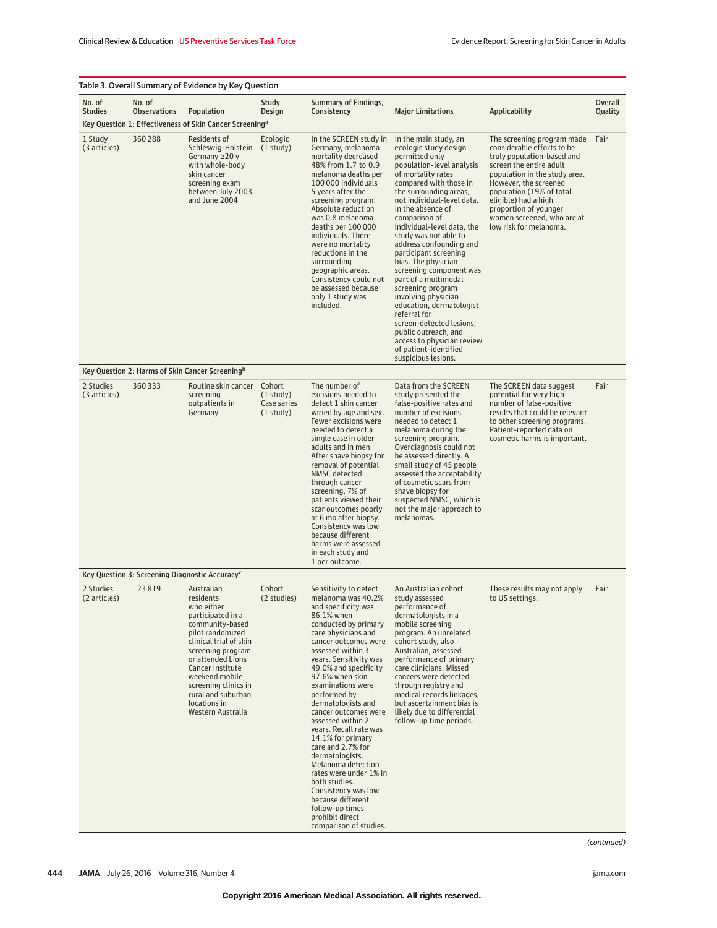|                           |                               | Table 3. Overall Summary of Evidence by Key Question                                                                                                                                                                                                                                           |                                           |                                                                                                                                                                                                                                                                                                                                                                                                                                                                                                                                                                                                                                |                                                                                                                                                                                                                                                                                                                                                                                                                                                                                                                                                                                                                                                            |                                                                                                                                                                                                                                                                                                                  |                    |
|---------------------------|-------------------------------|------------------------------------------------------------------------------------------------------------------------------------------------------------------------------------------------------------------------------------------------------------------------------------------------|-------------------------------------------|--------------------------------------------------------------------------------------------------------------------------------------------------------------------------------------------------------------------------------------------------------------------------------------------------------------------------------------------------------------------------------------------------------------------------------------------------------------------------------------------------------------------------------------------------------------------------------------------------------------------------------|------------------------------------------------------------------------------------------------------------------------------------------------------------------------------------------------------------------------------------------------------------------------------------------------------------------------------------------------------------------------------------------------------------------------------------------------------------------------------------------------------------------------------------------------------------------------------------------------------------------------------------------------------------|------------------------------------------------------------------------------------------------------------------------------------------------------------------------------------------------------------------------------------------------------------------------------------------------------------------|--------------------|
| No. of<br><b>Studies</b>  | No. of<br><b>Observations</b> | Population                                                                                                                                                                                                                                                                                     | Study<br>Design                           | Summary of Findings,<br>Consistency                                                                                                                                                                                                                                                                                                                                                                                                                                                                                                                                                                                            | <b>Major Limitations</b>                                                                                                                                                                                                                                                                                                                                                                                                                                                                                                                                                                                                                                   | <b>Applicability</b>                                                                                                                                                                                                                                                                                             | Overall<br>Quality |
|                           |                               | Key Question 1: Effectiveness of Skin Cancer Screening <sup>a</sup>                                                                                                                                                                                                                            |                                           |                                                                                                                                                                                                                                                                                                                                                                                                                                                                                                                                                                                                                                |                                                                                                                                                                                                                                                                                                                                                                                                                                                                                                                                                                                                                                                            |                                                                                                                                                                                                                                                                                                                  |                    |
| 1 Study<br>(3 articles)   | 360288                        | Residents of<br>Schleswig-Holstein<br>Germany $\geq$ 20 y<br>with whole-body<br>skin cancer<br>screening exam<br>between July 2003<br>and June 2004                                                                                                                                            | Ecologic<br>$(1$ study)                   | In the SCREEN study in<br>Germany, melanoma<br>mortality decreased<br>48% from 1.7 to 0.9<br>melanoma deaths per<br>100 000 individuals<br>5 years after the<br>screening program.<br>Absolute reduction<br>was 0.8 melanoma<br>deaths per 100 000<br>individuals. There<br>were no mortality<br>reductions in the<br>surrounding<br>geographic areas.<br>Consistency could not<br>be assessed because<br>only 1 study was<br>included.                                                                                                                                                                                        | In the main study, an<br>ecologic study design<br>permitted only<br>population-level analysis<br>of mortality rates<br>compared with those in<br>the surrounding areas,<br>not individual-level data.<br>In the absence of<br>comparison of<br>individual-level data, the<br>study was not able to<br>address confounding and<br>participant screening<br>bias. The physician<br>screening component was<br>part of a multimodal<br>screening program<br>involving physician<br>education, dermatologist<br>referral for<br>screen-detected lesions,<br>public outreach, and<br>access to physician review<br>of patient-identified<br>suspicious lesions. | The screening program made<br>considerable efforts to be<br>truly population-based and<br>screen the entire adult<br>population in the study area.<br>However, the screened<br>population (19% of total<br>eligible) had a high<br>proportion of younger<br>women screened, who are at<br>low risk for melanoma. | Fair               |
|                           |                               | Key Question 2: Harms of Skin Cancer Screening <sup>b</sup>                                                                                                                                                                                                                                    |                                           |                                                                                                                                                                                                                                                                                                                                                                                                                                                                                                                                                                                                                                |                                                                                                                                                                                                                                                                                                                                                                                                                                                                                                                                                                                                                                                            |                                                                                                                                                                                                                                                                                                                  |                    |
| 2 Studies<br>(3 articles) | 360333                        | Routine skin cancer Cohort<br>screening<br>outpatients in<br>Germany                                                                                                                                                                                                                           | $(1$ study)<br>Case series<br>$(1$ study) | The number of<br>excisions needed to<br>detect 1 skin cancer<br>varied by age and sex.<br>Fewer excisions were<br>needed to detect a<br>single case in older<br>adults and in men.<br>After shave biopsy for<br>removal of potential<br>NMSC detected<br>through cancer<br>screening, 7% of<br>patients viewed their<br>scar outcomes poorly<br>at 6 mo after biopsy.<br>Consistency was low<br>because different<br>harms were assessed<br>in each study and<br>1 per outcome.                                                                                                                                                | Data from the SCREEN<br>study presented the<br>false-positive rates and<br>number of excisions<br>needed to detect 1<br>melanoma during the<br>screening program.<br>Overdiagnosis could not<br>be assessed directly. A<br>small study of 45 people<br>assessed the acceptability<br>of cosmetic scars from<br>shave biopsy for<br>suspected NMSC, which is<br>not the major approach to<br>melanomas.                                                                                                                                                                                                                                                     | The SCREEN data suggest<br>potential for yery high<br>number of false-positive<br>results that could be relevant<br>to other screening programs.<br>Patient-reported data on<br>cosmetic harms is important.                                                                                                     | Fair               |
|                           |                               | Key Question 3: Screening Diagnostic Accuracy <sup>c</sup>                                                                                                                                                                                                                                     |                                           |                                                                                                                                                                                                                                                                                                                                                                                                                                                                                                                                                                                                                                |                                                                                                                                                                                                                                                                                                                                                                                                                                                                                                                                                                                                                                                            |                                                                                                                                                                                                                                                                                                                  |                    |
| 2 Studies<br>(2 articles) | 23819                         | Australian<br>residents<br>who either<br>participated in a<br>community-based<br>pilot randomized<br>clinical trial of skin<br>screening program<br>or attended Lions<br>Cancer Institute<br>weekend mobile<br>screening clinics in<br>rural and suburban<br>locations in<br>Western Australia | Cohort<br>(2 studies)                     | Sensitivity to detect<br>melanoma was 40.2%<br>and specificity was<br>86.1% when<br>conducted by primary<br>care physicians and<br>cancer outcomes were<br>assessed within 3<br>years. Sensitivity was<br>49.0% and specificity<br>97.6% when skin<br>examinations were<br>performed by<br>dermatologists and<br>cancer outcomes were<br>assessed within 2<br>years. Recall rate was<br>14.1% for primary<br>care and 2.7% for<br>dermatologists.<br>Melanoma detection<br>rates were under 1% in<br>both studies.<br>Consistency was low<br>because different<br>follow-up times<br>prohibit direct<br>comparison of studies. | An Australian cohort<br>study assessed<br>performance of<br>dermatologists in a<br>mobile screening<br>program. An unrelated<br>cohort study, also<br>Australian, assessed<br>performance of primary<br>care clinicians. Missed<br>cancers were detected<br>through registry and<br>medical records linkages,<br>but ascertainment bias is<br>likely due to differential<br>follow-up time periods.                                                                                                                                                                                                                                                        | These results may not apply<br>to US settings.                                                                                                                                                                                                                                                                   | Fair               |

(continued)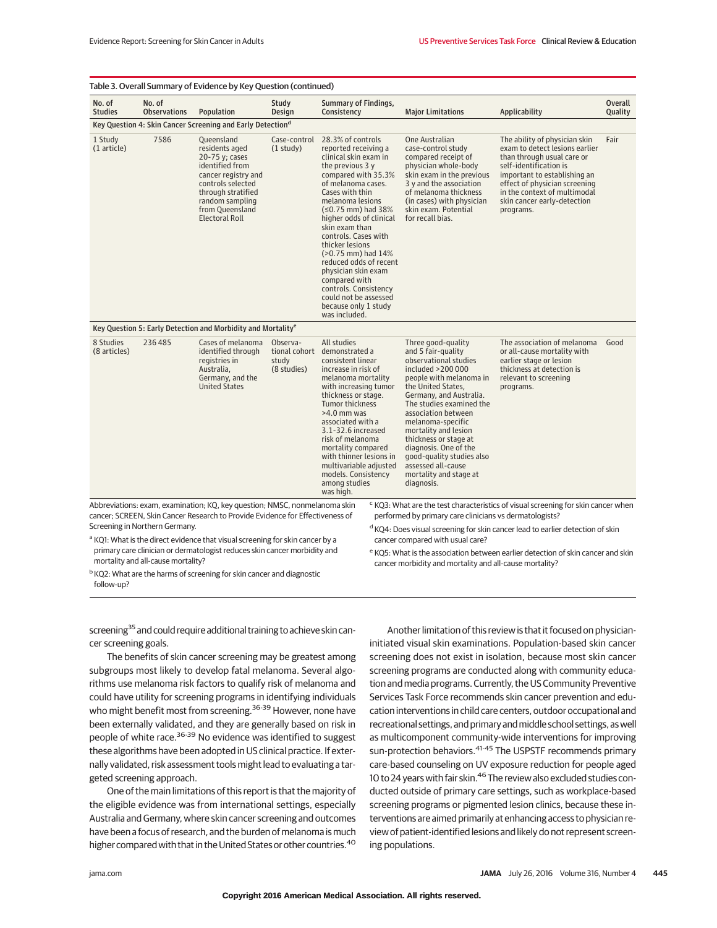| No. of<br><b>Studies</b>  | No. of<br><b>Observations</b>                                                                                                                                                                                                             | Population                                                                                                                                                                                       | Study<br>Design                                                                                                                                                                                                                                                                                                                                                                                                                                                                         | <b>Summary of Findings,</b><br>Consistency                                                                                                                                                                                                                                                                                                                                         | <b>Major Limitations</b>                                                                                                                                                                                                                                                                                                                                                                                        | Applicability                                                                                                                                                                                                                                            | Overall<br>Quality |
|---------------------------|-------------------------------------------------------------------------------------------------------------------------------------------------------------------------------------------------------------------------------------------|--------------------------------------------------------------------------------------------------------------------------------------------------------------------------------------------------|-----------------------------------------------------------------------------------------------------------------------------------------------------------------------------------------------------------------------------------------------------------------------------------------------------------------------------------------------------------------------------------------------------------------------------------------------------------------------------------------|------------------------------------------------------------------------------------------------------------------------------------------------------------------------------------------------------------------------------------------------------------------------------------------------------------------------------------------------------------------------------------|-----------------------------------------------------------------------------------------------------------------------------------------------------------------------------------------------------------------------------------------------------------------------------------------------------------------------------------------------------------------------------------------------------------------|----------------------------------------------------------------------------------------------------------------------------------------------------------------------------------------------------------------------------------------------------------|--------------------|
|                           |                                                                                                                                                                                                                                           | Key Question 4: Skin Cancer Screening and Early Detection <sup>d</sup>                                                                                                                           |                                                                                                                                                                                                                                                                                                                                                                                                                                                                                         |                                                                                                                                                                                                                                                                                                                                                                                    |                                                                                                                                                                                                                                                                                                                                                                                                                 |                                                                                                                                                                                                                                                          |                    |
| 1 Study<br>(1 article)    | 7586<br>Queensland<br>Case-control<br>residents aged<br>$(1$ study)<br>20-75 y; cases<br>identified from<br>cancer registry and<br>controls selected<br>through stratified<br>random sampling<br>from Queensland<br><b>Electoral Roll</b> |                                                                                                                                                                                                  | 28.3% of controls<br>reported receiving a<br>clinical skin exam in<br>the previous 3 y<br>compared with 35.3%<br>of melanoma cases.<br>Cases with thin<br>melanoma lesions<br>$(50.75 \text{ mm})$ had 38%<br>higher odds of clinical<br>skin exam than<br>controls. Cases with<br>thicker lesions<br>$(>0.75$ mm) had 14%<br>reduced odds of recent<br>physician skin exam<br>compared with<br>controls. Consistency<br>could not be assessed<br>because only 1 study<br>was included. | One Australian<br>case-control study<br>compared receipt of<br>physician whole-body<br>skin exam in the previous<br>3 v and the association<br>of melanoma thickness<br>(in cases) with physician<br>skin exam. Potential<br>for recall bias.                                                                                                                                      | The ability of physician skin<br>exam to detect lesions earlier<br>than through usual care or<br>self-identification is<br>important to establishing an<br>effect of physician screening<br>in the context of multimodal<br>skin cancer early-detection<br>programs.                                                                                                                                            | Fair                                                                                                                                                                                                                                                     |                    |
|                           |                                                                                                                                                                                                                                           | Key Question 5: Early Detection and Morbidity and Mortality <sup>e</sup>                                                                                                                         |                                                                                                                                                                                                                                                                                                                                                                                                                                                                                         |                                                                                                                                                                                                                                                                                                                                                                                    |                                                                                                                                                                                                                                                                                                                                                                                                                 |                                                                                                                                                                                                                                                          |                    |
| 8 Studies<br>(8 articles) | 236485                                                                                                                                                                                                                                    | Cases of melanoma<br>identified through<br>registries in<br>Australia,<br>Germany, and the<br><b>United States</b><br>Abbreviations: exam, examination; KQ, key question; NMSC, nonmelanoma skin | Observa-<br>tional cohort<br>study<br>(8 studies)                                                                                                                                                                                                                                                                                                                                                                                                                                       | All studies<br>demonstrated a<br>consistent linear<br>increase in risk of<br>melanoma mortality<br>with increasing tumor<br>thickness or stage.<br>Tumor thickness<br>$>4.0$ mm was<br>associated with a<br>3.1-32.6 increased<br>risk of melanoma<br>mortality compared<br>with thinner lesions in<br>multivariable adjusted<br>models. Consistency<br>among studies<br>was high. | Three good-quality<br>and 5 fair-quality<br>observational studies<br>included >200 000<br>people with melanoma in<br>the United States,<br>Germany, and Australia.<br>The studies examined the<br>association between<br>melanoma-specific<br>mortality and lesion<br>thickness or stage at<br>diagnosis. One of the<br>good-quality studies also<br>assessed all-cause<br>mortality and stage at<br>diagnosis. | The association of melanoma<br>or all-cause mortality with<br>earlier stage or lesion<br>thickness at detection is<br>relevant to screening<br>programs.<br><sup>c</sup> KQ3: What are the test characteristics of visual screening for skin cancer when | Good               |

a KO1: What is the direct evidence that visual screening for skin cancer by a primary care clinician or dermatologist reduces skin cancer morbidity and mortality and all-cause mortality?

**b** KQ2: What are the harms of screening for skin cancer and diagnostic follow-up?

cancer compared with usual care?

e KQ5: What is the association between earlier detection of skin cancer and skin cancer morbidity and mortality and all-cause mortality?

screening<sup>35</sup> and could require additional training to achieve skin cancer screening goals.

The benefits of skin cancer screening may be greatest among subgroups most likely to develop fatal melanoma. Several algorithms use melanoma risk factors to qualify risk of melanoma and could have utility for screening programs in identifying individuals who might benefit most from screening.<sup>36-39</sup> However, none have been externally validated, and they are generally based on risk in people of white race.<sup>36-39</sup> No evidence was identified to suggest these algorithms have been adopted in US clinical practice. If externally validated, risk assessment tools might lead to evaluating a targeted screening approach.

One of the main limitations of this report is that the majority of the eligible evidence was from international settings, especially Australia and Germany, where skin cancer screening and outcomes have been a focus of research, and the burden of melanoma is much higher compared with that in the United States or other countries.<sup>40</sup>

Another limitation of this review is that it focused on physicianinitiated visual skin examinations. Population-based skin cancer screening does not exist in isolation, because most skin cancer screening programs are conducted along with community education and media programs. Currently, the US Community Preventive Services Task Force recommends skin cancer prevention and education interventions in child care centers, outdoor occupational and recreational settings, and primary and middle school settings, as well as multicomponent community-wide interventions for improving sun-protection behaviors.<sup>41-45</sup> The USPSTF recommends primary care-based counseling on UV exposure reduction for people aged 10 to 24 years with fair skin.<sup>46</sup> The review also excluded studies conducted outside of primary care settings, such as workplace-based screening programs or pigmented lesion clinics, because these interventions are aimed primarily at enhancing access to physician review of patient-identified lesions and likely do not represent screening populations.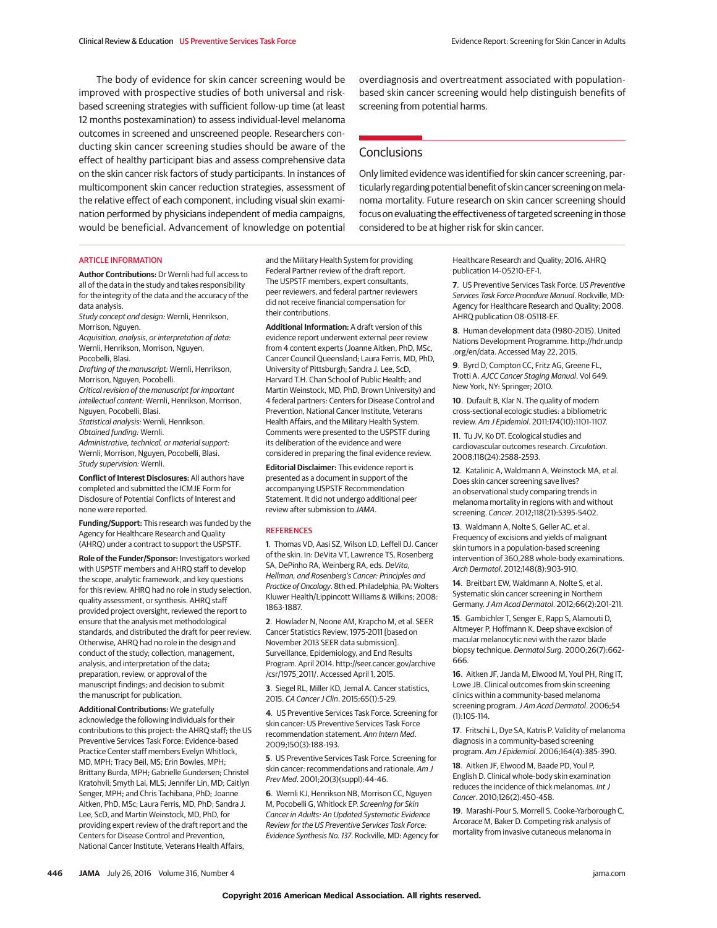The body of evidence for skin cancer screening would be improved with prospective studies of both universal and riskbased screening strategies with sufficient follow-up time (at least 12 months postexamination) to assess individual-level melanoma outcomes in screened and unscreened people. Researchers conducting skin cancer screening studies should be aware of the effect of healthy participant bias and assess comprehensive data on the skin cancer risk factors of study participants. In instances of multicomponent skin cancer reduction strategies, assessment of the relative effect of each component, including visual skin examination performed by physicians independent of media campaigns, would be beneficial. Advancement of knowledge on potential

overdiagnosis and overtreatment associated with populationbased skin cancer screening would help distinguish benefits of screening from potential harms.

# **Conclusions**

Only limited evidence was identified for skin cancer screening, particularly regarding potential benefit of skin cancer screening onmelanoma mortality. Future research on skin cancer screening should focus on evaluating the effectiveness of targeted screening in those considered to be at higher risk for skin cancer.

## ARTICLE INFORMATION

**Author Contributions:** Dr Wernli had full access to all of the data in the study and takes responsibility for the integrity of the data and the accuracy of the data analysis.

Study concept and design: Wernli, Henrikson, Morrison, Nguyen.

Acquisition, analysis, or interpretation of data: Wernli, Henrikson, Morrison, Nguyen, Pocobelli, Blasi.

Drafting of the manuscript: Wernli, Henrikson, Morrison, Nguyen, Pocobelli.

Critical revision of the manuscript for important intellectual content: Wernli, Henrikson, Morrison, Nguyen, Pocobelli, Blasi.

Statistical analysis: Wernli, Henrikson.

Obtained funding: Wernli.

Administrative, technical, or material support: Wernli, Morrison, Nguyen, Pocobelli, Blasi. Study supervision: Wernli.

**Conflict of Interest Disclosures:** All authors have completed and submitted the ICMJE Form for Disclosure of Potential Conflicts of Interest and none were reported.

**Funding/Support:** This research was funded by the Agency for Healthcare Research and Quality (AHRQ) under a contract to support the USPSTF.

**Role of the Funder/Sponsor:** Investigators worked with USPSTF members and AHRQ staff to develop the scope, analytic framework, and key questions for this review. AHRQ had no role in study selection, quality assessment, or synthesis. AHRQ staff provided project oversight, reviewed the report to ensure that the analysis met methodological standards, and distributed the draft for peer review. Otherwise, AHRQ had no role in the design and conduct of the study; collection, management, analysis, and interpretation of the data; preparation, review, or approval of the manuscript findings; and decision to submit the manuscript for publication.

**Additional Contributions:** We gratefully acknowledge the following individuals for their contributions to this project: the AHRQ staff; the US Preventive Services Task Force; Evidence-based Practice Center staff members Evelyn Whitlock, MD, MPH; Tracy Beil, MS; Erin Bowles, MPH; Brittany Burda, MPH; Gabrielle Gundersen; Christel Kratohvil; Smyth Lai, MLS; Jennifer Lin, MD; Caitlyn Senger, MPH; and Chris Tachibana, PhD; Joanne Aitken, PhD, MSc; Laura Ferris, MD, PhD; Sandra J. Lee, ScD, and Martin Weinstock, MD, PhD, for providing expert review of the draft report and the Centers for Disease Control and Prevention, National Cancer Institute, Veterans Health Affairs,

and the Military Health System for providing Federal Partner review of the draft report. The USPSTF members, expert consultants, peer reviewers, and federal partner reviewers did not receive financial compensation for their contributions.

**Additional Information:** A draft version of this evidence report underwent external peer review from 4 content experts (Joanne Aitken, PhD, MSc, Cancer Council Queensland; Laura Ferris, MD, PhD, University of Pittsburgh; Sandra J. Lee, ScD, Harvard T.H. Chan School of Public Health; and Martin Weinstock, MD, PhD, Brown University) and 4 federal partners: Centers for Disease Control and Prevention, National Cancer Institute, Veterans Health Affairs, and the Military Health System. Comments were presented to the USPSTF during its deliberation of the evidence and were considered in preparing the final evidence review.

**Editorial Disclaimer:** This evidence report is presented as a document in support of the accompanying USPSTF Recommendation Statement. It did not undergo additional peer review after submission to JAMA.

#### **REFERENCES**

**1**. Thomas VD, Aasi SZ, Wilson LD, Leffell DJ. Cancer of the skin. In: DeVita VT, Lawrence TS, Rosenberg SA, DePinho RA, Weinberg RA, eds. DeVita, Hellman, and Rosenberg's Cancer: Principles and Practice of Oncology. 8th ed. Philadelphia, PA: Wolters Kluwer Health/Lippincott Williams & Wilkins; 2008: 1863-1887.

**2**. Howlader N, Noone AM, Krapcho M, et al. SEER Cancer Statistics Review, 1975-2011 [based on November 2013 SEER data submission]. Surveillance, Epidemiology, and End Results Program. April 2014. http://seer.cancer.gov/archive /csr/1975\_2011/. Accessed April 1, 2015.

**3**. Siegel RL, Miller KD, Jemal A. Cancer statistics, 2015. CA Cancer J Clin. 2015;65(1):5-29.

**4**. US Preventive Services Task Force. Screening for skin cancer: US Preventive Services Task Force recommendation statement. Ann Intern Med. 2009;150(3):188-193.

**5**. US Preventive Services Task Force. Screening for skin cancer: recommendations and rationale. Am J Prev Med. 2001;20(3)(suppl):44-46.

**6**. Wernli KJ, Henrikson NB, Morrison CC, Nguyen M, Pocobelli G, Whitlock EP. Screening for Skin Cancer in Adults: An Updated Systematic Evidence Review for the US Preventive Services Task Force: Evidence Synthesis No. 137. Rockville, MD: Agency for Healthcare Research and Quality; 2016. AHRQ publication 14-05210-EF-1.

**7**. US Preventive Services Task Force. US Preventive Services Task Force Procedure Manual. Rockville, MD: Agency for Healthcare Research and Quality; 2008. AHRQ publication 08-05118-EF.

**8**. Human development data (1980-2015). United Nations Development Programme. http://hdr.undp .org/en/data. Accessed May 22, 2015.

**9**. Byrd D, Compton CC, Fritz AG, Greene FL, Trotti A. AJCC Cancer Staging Manual. Vol 649. New York, NY: Springer; 2010.

**10**. Dufault B, Klar N. The quality of modern cross-sectional ecologic studies: a bibliometric review. Am J Epidemiol. 2011;174(10):1101-1107.

**11**. Tu JV, Ko DT. Ecological studies and cardiovascular outcomes research. Circulation. 2008;118(24):2588-2593.

**12**. Katalinic A, Waldmann A, Weinstock MA, et al. Does skin cancer screening save lives? an observational study comparing trends in melanoma mortality in regions with and without screening. Cancer. 2012;118(21):5395-5402.

**13**. Waldmann A, Nolte S, Geller AC, et al. Frequency of excisions and yields of malignant skin tumors in a population-based screening intervention of 360,288 whole-body examinations. Arch Dermatol. 2012;148(8):903-910.

**14**. Breitbart EW, Waldmann A, Nolte S, et al. Systematic skin cancer screening in Northern Germany.J Am Acad Dermatol. 2012;66(2):201-211.

**15**. Gambichler T, Senger E, Rapp S, Alamouti D, Altmeyer P, Hoffmann K. Deep shave excision of macular melanocytic nevi with the razor blade biopsy technique. Dermatol Surg. 2000;26(7):662- 666.

**16**. Aitken JF, Janda M, Elwood M, Youl PH, Ring IT, Lowe JB. Clinical outcomes from skin screening clinics within a community-based melanoma screening program. J Am Acad Dermatol. 2006;54 (1):105-114.

**17**. Fritschi L, Dye SA, Katris P. Validity of melanoma diagnosis in a community-based screening program. Am J Epidemiol. 2006;164(4):385-390.

**18.** Aitken JF, Elwood M, Baade PD, Youl P, English D. Clinical whole-body skin examination reduces the incidence of thick melanomas. Int J Cancer. 2010;126(2):450-458.

**19**. Marashi-Pour S, Morrell S, Cooke-Yarborough C, Arcorace M, Baker D. Competing risk analysis of mortality from invasive cutaneous melanoma in